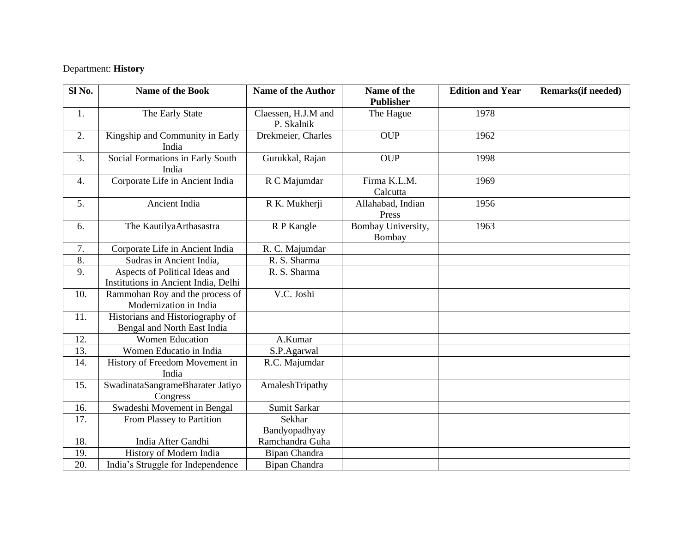## Department: **History**

| Sl <sub>No.</sub> | <b>Name of the Book</b>                                                | <b>Name of the Author</b>         | Name of the<br><b>Publisher</b> | <b>Edition and Year</b> | Remarks(if needed) |
|-------------------|------------------------------------------------------------------------|-----------------------------------|---------------------------------|-------------------------|--------------------|
| 1.                | The Early State                                                        | Claessen, H.J.M and<br>P. Skalnik | The Hague                       | 1978                    |                    |
| 2.                | Kingship and Community in Early<br>India                               | Drekmeier, Charles                | <b>OUP</b>                      | 1962                    |                    |
| 3.                | Social Formations in Early South<br>India                              | Gurukkal, Rajan                   | <b>OUP</b>                      | 1998                    |                    |
| 4.                | Corporate Life in Ancient India                                        | R C Majumdar                      | Firma K.L.M.<br>Calcutta        | 1969                    |                    |
| 5.                | Ancient India                                                          | R K. Mukherji                     | Allahabad, Indian<br>Press      | 1956                    |                    |
| 6.                | The KautilyaArthasastra                                                | R P Kangle                        | Bombay University,<br>Bombay    | 1963                    |                    |
| 7.                | Corporate Life in Ancient India                                        | R. C. Majumdar                    |                                 |                         |                    |
| 8.                | Sudras in Ancient India,                                               | R. S. Sharma                      |                                 |                         |                    |
| 9.                | Aspects of Political Ideas and<br>Institutions in Ancient India, Delhi | R. S. Sharma                      |                                 |                         |                    |
| 10.               | Rammohan Roy and the process of<br>Modernization in India              | V.C. Joshi                        |                                 |                         |                    |
| 11.               | Historians and Historiography of<br>Bengal and North East India        |                                   |                                 |                         |                    |
| 12.               | <b>Women Education</b>                                                 | A.Kumar                           |                                 |                         |                    |
| 13.               | Women Educatio in India                                                | S.P.Agarwal                       |                                 |                         |                    |
| 14.               | History of Freedom Movement in<br>India                                | R.C. Majumdar                     |                                 |                         |                    |
| 15.               | SwadinataSangrameBharater Jatiyo<br>Congress                           | AmaleshTripathy                   |                                 |                         |                    |
| 16.               | Swadeshi Movement in Bengal                                            | Sumit Sarkar                      |                                 |                         |                    |
| 17.               | From Plassey to Partition                                              | Sekhar                            |                                 |                         |                    |
|                   |                                                                        | Bandyopadhyay                     |                                 |                         |                    |
| 18.               | India After Gandhi                                                     | Ramchandra Guha                   |                                 |                         |                    |
| 19.               | History of Modern India                                                | Bipan Chandra                     |                                 |                         |                    |
| 20.               | India's Struggle for Independence                                      | Bipan Chandra                     |                                 |                         |                    |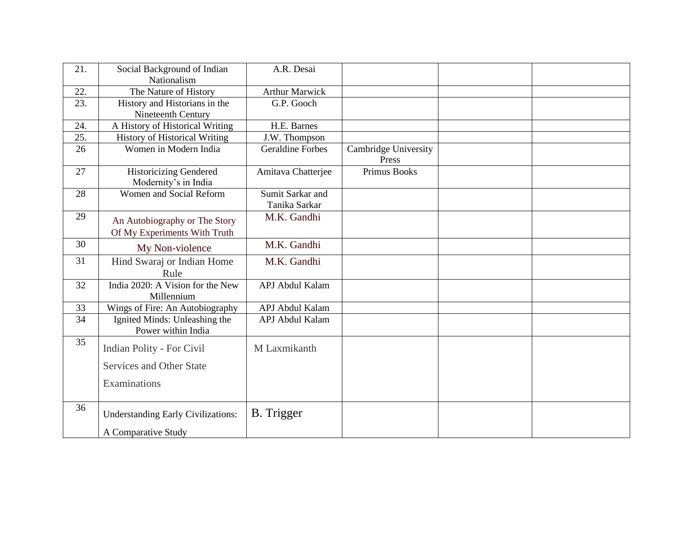| 21. | Social Background of Indian<br>Nationalism                    | A.R. Desai                        |                               |  |
|-----|---------------------------------------------------------------|-----------------------------------|-------------------------------|--|
| 22. | The Nature of History                                         | <b>Arthur Marwick</b>             |                               |  |
| 23. | History and Historians in the<br>Nineteenth Century           | G.P. Gooch                        |                               |  |
| 24. | A History of Historical Writing                               | H.E. Barnes                       |                               |  |
| 25. | <b>History of Historical Writing</b>                          | J.W. Thompson                     |                               |  |
| 26  | Women in Modern India                                         | <b>Geraldine Forbes</b>           | Cambridge University<br>Press |  |
| 27  | <b>Historicizing Gendered</b><br>Modernity's in India         | Amitava Chatterjee                | <b>Primus Books</b>           |  |
| 28  | Women and Social Reform                                       | Sumit Sarkar and<br>Tanika Sarkar |                               |  |
| 29  | An Autobiography or The Story<br>Of My Experiments With Truth | M.K. Gandhi                       |                               |  |
| 30  | My Non-violence                                               | M.K. Gandhi                       |                               |  |
| 31  | Hind Swaraj or Indian Home<br>Rule                            | M.K. Gandhi                       |                               |  |
| 32  | India 2020: A Vision for the New<br>Millennium                | APJ Abdul Kalam                   |                               |  |
| 33  | Wings of Fire: An Autobiography                               | APJ Abdul Kalam                   |                               |  |
| 34  | Ignited Minds: Unleashing the<br>Power within India           | APJ Abdul Kalam                   |                               |  |
| 35  | <b>Indian Polity - For Civil</b>                              | M Laxmikanth                      |                               |  |
|     | Services and Other State                                      |                                   |                               |  |
|     | Examinations                                                  |                                   |                               |  |
| 36  | <b>Understanding Early Civilizations:</b>                     | <b>B.</b> Trigger                 |                               |  |
|     | A Comparative Study                                           |                                   |                               |  |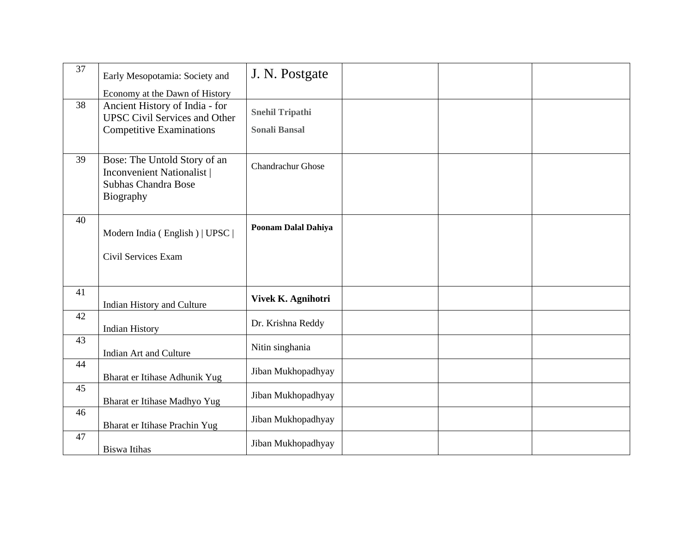| 37 | Early Mesopotamia: Society and                                                                                                              | J. N. Postgate                                 |  |  |
|----|---------------------------------------------------------------------------------------------------------------------------------------------|------------------------------------------------|--|--|
| 38 | Economy at the Dawn of History<br>Ancient History of India - for<br><b>UPSC Civil Services and Other</b><br><b>Competitive Examinations</b> | <b>Snehil Tripathi</b><br><b>Sonali Bansal</b> |  |  |
| 39 | Bose: The Untold Story of an<br><b>Inconvenient Nationalist</b><br>Subhas Chandra Bose<br>Biography                                         | <b>Chandrachur Ghose</b>                       |  |  |
| 40 | Modern India (English)   UPSC  <br>Civil Services Exam                                                                                      | Poonam Dalal Dahiya                            |  |  |
| 41 | Indian History and Culture                                                                                                                  | Vivek K. Agnihotri                             |  |  |
| 42 | <b>Indian History</b>                                                                                                                       | Dr. Krishna Reddy                              |  |  |
| 43 | Indian Art and Culture                                                                                                                      | Nitin singhania                                |  |  |
| 44 | Bharat er Itihase Adhunik Yug                                                                                                               | Jiban Mukhopadhyay                             |  |  |
| 45 | Bharat er Itihase Madhyo Yug                                                                                                                | Jiban Mukhopadhyay                             |  |  |
| 46 | Bharat er Itihase Prachin Yug                                                                                                               | Jiban Mukhopadhyay                             |  |  |
| 47 | <b>Biswa Itihas</b>                                                                                                                         | Jiban Mukhopadhyay                             |  |  |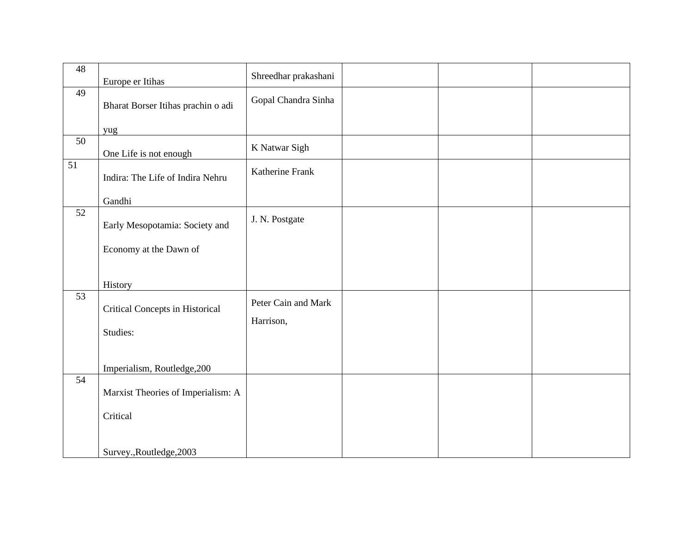| 48              |                                             | Shreedhar prakashani             |  |  |
|-----------------|---------------------------------------------|----------------------------------|--|--|
|                 | Europe er Itihas                            |                                  |  |  |
| 49              | Bharat Borser Itihas prachin o adi          | Gopal Chandra Sinha              |  |  |
|                 | yug                                         |                                  |  |  |
| 50              | One Life is not enough                      | K Natwar Sigh                    |  |  |
| $\overline{51}$ | Indira: The Life of Indira Nehru            | Katherine Frank                  |  |  |
|                 | Gandhi                                      |                                  |  |  |
| 52              | Early Mesopotamia: Society and              | J. N. Postgate                   |  |  |
|                 | Economy at the Dawn of                      |                                  |  |  |
|                 | History                                     |                                  |  |  |
| 53              | Critical Concepts in Historical<br>Studies: | Peter Cain and Mark<br>Harrison, |  |  |
|                 |                                             |                                  |  |  |
|                 | Imperialism, Routledge, 200                 |                                  |  |  |
| 54              | Marxist Theories of Imperialism: A          |                                  |  |  |
|                 | Critical                                    |                                  |  |  |
|                 | Survey., Routledge, 2003                    |                                  |  |  |